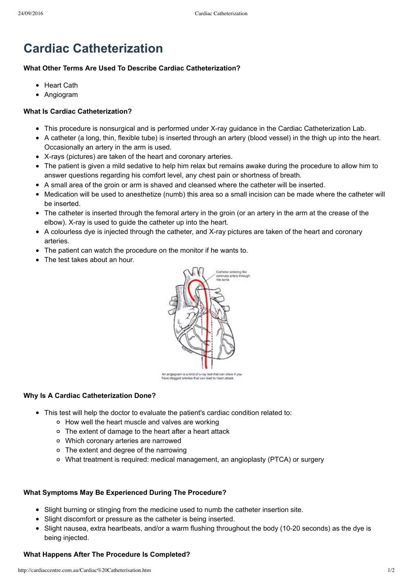# **Cardiac Catheterization**

#### **What Other Terms Are Used To Describe Cardiac Catheterization?**

- Heart Cath
- Angiogram

### **What Is Cardiac Catheterization?**

- This procedure is nonsurgical and is performed under X-ray guidance in the Cardiac Catheterization Lab.
- A catheter (a long, thin, flexible tube) is inserted through an artery (blood vessel) in the thigh up into the heart. Occasionally an artery in the arm is used.
- X-rays (pictures) are taken of the heart and coronary arteries.
- The patient is given a mild sedative to help him relax but remains awake during the procedure to allow him to answer questions regarding his comfort level, any chest pain or shortness of breath.
- A small area of the groin or arm is shaved and cleansed where the catheter will be inserted.
- Medication will be used to anesthetize (numb) this area so a small incision can be made where the catheter will be inserted.
- The catheter is inserted through the femoral artery in the groin (or an artery in the arm at the crease of the elbow). X-ray is used to quide the catheter up into the heart.
- A colourless dye is injected through the catheter, and X-ray pictures are taken of the heart and coronary arteries.
- The patient can watch the procedure on the monitor if he wants to.
- The test takes about an hour.



An anglogram is a kind of x-ray test that can show<br>have clogged arteries that can load to heart attack

## **Why Is A Cardiac Catheterization Done?**

- This test will help the doctor to evaluate the patient's cardiac condition related to:
	- How well the heart muscle and valves are working
	- The extent of damage to the heart after a heart attack
	- Which coronary arteries are narrowed
	- The extent and degree of the narrowing
	- What treatment is required: medical management, an angioplasty (PTCA) or surgery

## **What Symptoms May Be Experienced During The Procedure?**

- Slight burning or stinging from the medicine used to numb the catheter insertion site.
- Slight discomfort or pressure as the catheter is being inserted.
- Slight nausea, extra heartbeats, and/or a warm flushing throughout the body (10-20 seconds) as the dye is being injected.

## **What Happens After The Procedure Is Completed?**